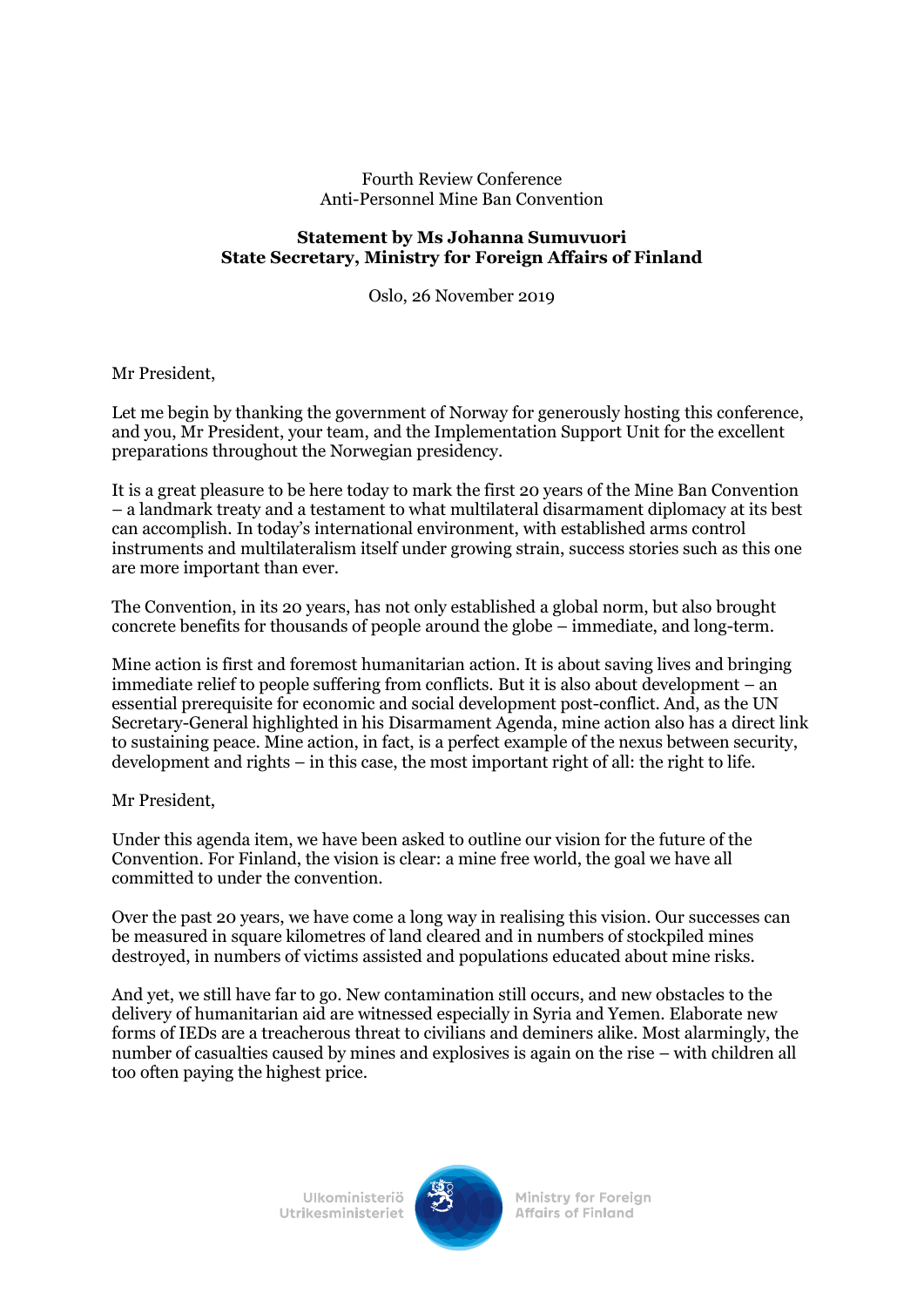## Fourth Review Conference Anti-Personnel Mine Ban Convention

## **Statement by Ms Johanna Sumuvuori State Secretary, Ministry for Foreign Affairs of Finland**

Oslo, 26 November 2019

Mr President,

Let me begin by thanking the government of Norway for generously hosting this conference, and you, Mr President, your team, and the Implementation Support Unit for the excellent preparations throughout the Norwegian presidency.

It is a great pleasure to be here today to mark the first 20 years of the Mine Ban Convention – a landmark treaty and a testament to what multilateral disarmament diplomacy at its best can accomplish. In today's international environment, with established arms control instruments and multilateralism itself under growing strain, success stories such as this one are more important than ever.

The Convention, in its 20 years, has not only established a global norm, but also brought concrete benefits for thousands of people around the globe – immediate, and long-term.

Mine action is first and foremost humanitarian action. It is about saving lives and bringing immediate relief to people suffering from conflicts. But it is also about development – an essential prerequisite for economic and social development post-conflict. And, as the UN Secretary-General highlighted in his Disarmament Agenda, mine action also has a direct link to sustaining peace. Mine action, in fact, is a perfect example of the nexus between security, development and rights – in this case, the most important right of all: the right to life.

Mr President,

Under this agenda item, we have been asked to outline our vision for the future of the Convention. For Finland, the vision is clear: a mine free world, the goal we have all committed to under the convention.

Over the past 20 years, we have come a long way in realising this vision. Our successes can be measured in square kilometres of land cleared and in numbers of stockpiled mines destroyed, in numbers of victims assisted and populations educated about mine risks.

And yet, we still have far to go. New contamination still occurs, and new obstacles to the delivery of humanitarian aid are witnessed especially in Syria and Yemen. Elaborate new forms of IEDs are a treacherous threat to civilians and deminers alike. Most alarmingly, the number of casualties caused by mines and explosives is again on the rise – with children all too often paying the highest price.

> **Ulkoministeriö** Utrikesministeriet



**Ministry for Foreign Affairs of Finland**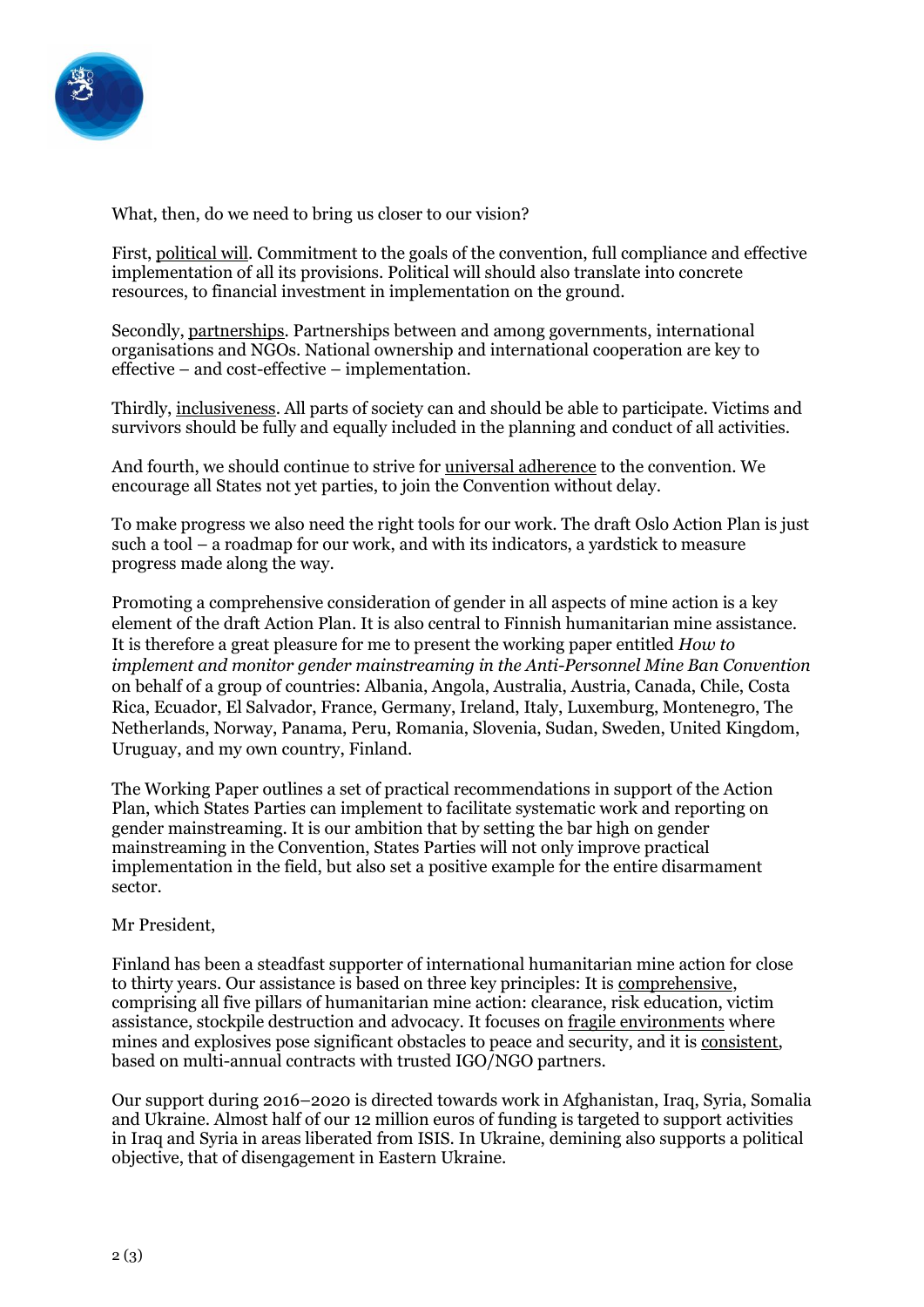

What, then, do we need to bring us closer to our vision?

First, political will. Commitment to the goals of the convention, full compliance and effective implementation of all its provisions. Political will should also translate into concrete resources, to financial investment in implementation on the ground.

Secondly, partnerships. Partnerships between and among governments, international organisations and NGOs. National ownership and international cooperation are key to effective – and cost-effective – implementation.

Thirdly, inclusiveness. All parts of society can and should be able to participate. Victims and survivors should be fully and equally included in the planning and conduct of all activities.

And fourth, we should continue to strive for universal adherence to the convention. We encourage all States not yet parties, to join the Convention without delay.

To make progress we also need the right tools for our work. The draft Oslo Action Plan is just such a tool – a roadmap for our work, and with its indicators, a yardstick to measure progress made along the way.

Promoting a comprehensive consideration of gender in all aspects of mine action is a key element of the draft Action Plan. It is also central to Finnish humanitarian mine assistance. It is therefore a great pleasure for me to present the working paper entitled *How to implement and monitor gender mainstreaming in the Anti-Personnel Mine Ban Convention* on behalf of a group of countries: Albania, Angola, Australia, Austria, Canada, Chile, Costa Rica, Ecuador, El Salvador, France, Germany, Ireland, Italy, Luxemburg, Montenegro, The Netherlands, Norway, Panama, Peru, Romania, Slovenia, Sudan, Sweden, United Kingdom, Uruguay, and my own country, Finland.

The Working Paper outlines a set of practical recommendations in support of the Action Plan, which States Parties can implement to facilitate systematic work and reporting on gender mainstreaming. It is our ambition that by setting the bar high on gender mainstreaming in the Convention, States Parties will not only improve practical implementation in the field, but also set a positive example for the entire disarmament sector.

## Mr President,

Finland has been a steadfast supporter of international humanitarian mine action for close to thirty years. Our assistance is based on three key principles: It is comprehensive, comprising all five pillars of humanitarian mine action: clearance, risk education, victim assistance, stockpile destruction and advocacy. It focuses on fragile environments where mines and explosives pose significant obstacles to peace and security, and it is consistent, based on multi-annual contracts with trusted IGO/NGO partners.

Our support during 2016–2020 is directed towards work in Afghanistan, Iraq, Syria, Somalia and Ukraine. Almost half of our 12 million euros of funding is targeted to support activities in Iraq and Syria in areas liberated from ISIS. In Ukraine, demining also supports a political objective, that of disengagement in Eastern Ukraine.